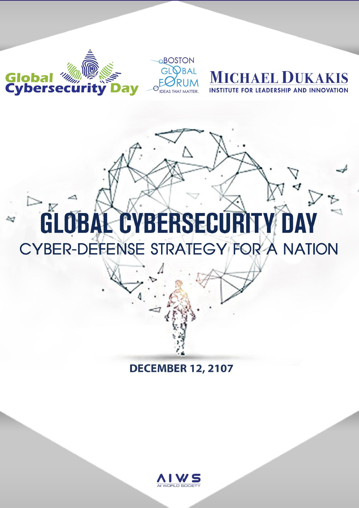

### **DECEMBER 12, 2107**

BOSTON

**GLOBAL CYBERSECURITY DAY** 

CYBER-DEFENSE STRATEGY FOR A NATION

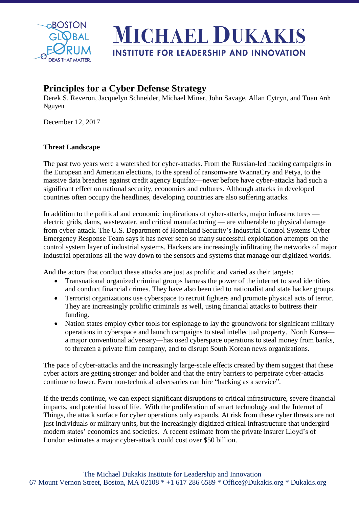

#### **Principles for a Cyber Defense Strategy**

Derek S. Reveron, Jacquelyn Schneider, Michael Miner, John Savage, Allan Cytryn, and Tuan Anh Nguyen

December 12, 2017

#### **Threat Landscape**

The past two years were a watershed for cyber-attacks. From the Russian-led hacking campaigns in the European and American elections, to the spread of ransomware WannaCry and Petya, to the massive data breaches against credit agency Equifax—never before have cyber-attacks had such a significant effect on national security, economies and cultures. Although attacks in developed countries often occupy the headlines, developing countries are also suffering attacks.

In addition to the political and economic implications of cyber-attacks, major infrastructures electric grids, dams, wastewater, and critical manufacturing — are vulnerable to physical damage from cyber-attack. The U.S. Department of Homeland Security's Industrial Control Systems Cyber Emergency Response Team says it has never seen so many successful exploitation attempts on the control system layer of industrial systems. Hackers are increasingly infiltrating the networks of major industrial operations all the way down to the sensors and systems that manage our digitized worlds.

And the actors that conduct these attacks are just as prolific and varied as their targets:

- Transnational organized criminal groups harness the power of the internet to steal identities and conduct financial crimes. They have also been tied to nationalist and state hacker groups.
- Terrorist organizations use cyberspace to recruit fighters and promote physical acts of terror. They are increasingly prolific criminals as well, using financial attacks to buttress their funding.
- Nation states employ cyber tools for espionage to lay the groundwork for significant military operations in cyberspace and launch campaigns to steal intellectual property. North Korea a major conventional adversary—has used cyberspace operations to steal money from banks, to threaten a private film company, and to disrupt South Korean news organizations.

The pace of cyber-attacks and the increasingly large-scale effects created by them suggest that these cyber actors are getting stronger and bolder and that the entry barriers to perpetrate cyber-attacks continue to lower. Even non-technical adversaries can hire "hacking as a service".

If the trends continue, we can expect significant disruptions to critical infrastructure, severe financial impacts, and potential loss of life. With the proliferation of smart technology and the Internet of Things, the attack surface for cyber operations only expands. At risk from these cyber threats are not just individuals or military units, but the increasingly digitized critical infrastructure that undergird modern states' economies and societies. A recent estimate from the private insurer Lloyd's of London estimates a major cyber-attack could cost over \$50 billion.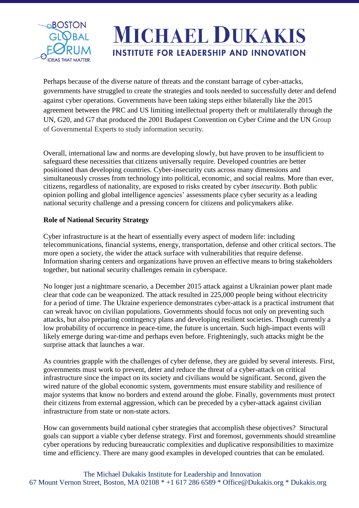

Perhaps because of the diverse nature of threats and the constant barrage of cyber-attacks, governments have struggled to create the strategies and tools needed to successfully deter and defend against cyber operations. Governments have been taking steps either bilaterally like the 2015 agreement between the PRC and US limiting intellectual property theft or multilaterally through the UN, G20, and G7 that produced the 2001 Budapest Convention on Cyber Crime and the UN Group of Governmental Experts to study information security.

Overall, international law and norms are developing slowly, but have proven to be insufficient to safeguard these necessities that citizens universally require. Developed countries are better positioned than developing countries. Cyber-insecurity cuts across many dimensions and simultaneously crosses from technology into political, economic, and social realms. More than ever, citizens, regardless of nationality, are exposed to risks created by cyber *insecurity*. Both public opinion polling and global intelligence agencies' assessments place cyber security as a leading national security challenge and a pressing concern for citizens and policymakers alike.

#### **Role of National Security Strategy**

Cyber infrastructure is at the heart of essentially every aspect of modern life: including telecommunications, financial systems, energy, transportation, defense and other critical sectors. The more open a society, the wider the attack surface with vulnerabilities that require defense. Information sharing centers and organizations have proven an effective means to bring stakeholders together, but national security challenges remain in cyberspace.

No longer just a nightmare scenario, a December 2015 attack against a Ukrainian power plant made clear that code can be weaponized. The attack resulted in 225,000 people being without electricity for a period of time. The Ukraine experience demonstrates cyber-attack is a practical instrument that can wreak havoc on civilian populations. Governments should focus not only on preventing such attacks, but also preparing contingency plans and developing resilient societies. Though currently a low probability of occurrence in peace-time, the future is uncertain. Such high-impact events will likely emerge during war-time and perhaps even before. Frighteningly, such attacks might be the surprise attack that launches a war.

As countries grapple with the challenges of cyber defense, they are guided by several interests. First, governments must work to prevent, deter and reduce the threat of a cyber-attack on critical infrastructure since the impact on its society and civilians would be significant. Second, given the wired nature of the global economic system, governments must ensure stability and resilience of major systems that know no borders and extend around the globe. Finally, governments must protect their citizens from external aggression, which can be preceded by a cyber-attack against civilian infrastructure from state or non-state actors.

How can governments build national cyber strategies that accomplish these objectives? Structural goals can support a viable cyber defense strategy. First and foremost, governments should streamline cyber operations by reducing bureaucratic complexities and duplicative responsibilities to maximize time and efficiency. There are many good examples in developed countries that can be emulated.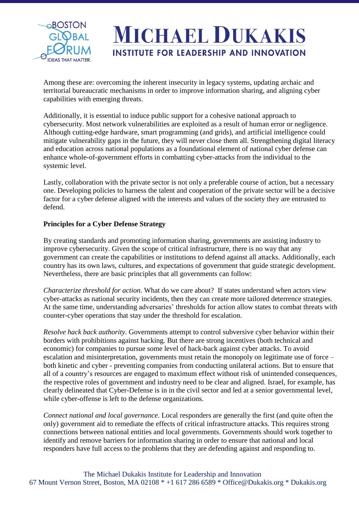

Among these are: overcoming the inherent insecurity in legacy systems, updating archaic and territorial bureaucratic mechanisms in order to improve information sharing, and aligning cyber capabilities with emerging threats.

Additionally, it is essential to induce public support for a cohesive national approach to cybersecurity. Most network vulnerabilities are exploited as a result of human error or negligence. Although cutting-edge hardware, smart programming (and grids), and artificial intelligence could mitigate vulnerability gaps in the future, they will never close them all. Strengthening digital literacy and education across national populations as a foundational element of national cyber defense can enhance whole-of-government efforts in combatting cyber-attacks from the individual to the systemic level.

Lastly, collaboration with the private sector is not only a preferable course of action, but a necessary one. Developing policies to harness the talent and cooperation of the private sector will be a decisive factor for a cyber defense aligned with the interests and values of the society they are entrusted to defend.

#### **Principles for a Cyber Defense Strategy**

By creating standards and promoting information sharing, governments are assisting industry to improve cybersecurity. Given the scope of critical infrastructure, there is no way that any government can create the capabilities or institutions to defend against all attacks. Additionally, each country has its own laws, cultures, and expectations of government that guide strategic development. Nevertheless, there are basic principles that all governments can follow:

*Characterize threshold for action*. What do we care about? If states understand when actors view cyber-attacks as national security incidents, then they can create more tailored deterrence strategies. At the same time, understanding adversaries' thresholds for action allow states to combat threats with counter-cyber operations that stay under the threshold for escalation.

*Resolve hack back authority*. Governments attempt to control subversive cyber behavior within their borders with prohibitions against hacking. But there are strong incentives (both technical and economic) for companies to pursue some level of hack-back against cyber attacks. To avoid escalation and misinterpretation, governments must retain the monopoly on legitimate use of force – both kinetic and cyber - preventing companies from conducting unilateral actions. But to ensure that all of a country's resources are engaged to maximum effect without risk of unintended consequences, the respective roles of government and industry need to be clear and aligned. Israel, for example, has clearly delineated that Cyber-Defense is in in the civil sector and led at a senior governmental level, while cyber-offense is left to the defense organizations.

*Connect national and local governance*. Local responders are generally the first (and quite often the only) government aid to remediate the effects of critical infrastructure attacks. This requires strong connections between national entities and local governments. Governments should work together to identify and remove barriers for information sharing in order to ensure that national and local responders have full access to the problems that they are defending against and responding to.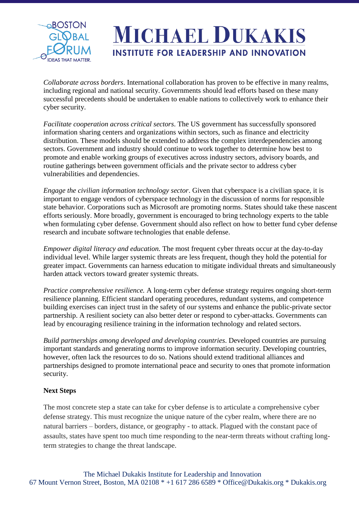

*Collaborate across borders*. International collaboration has proven to be effective in many realms, including regional and national security. Governments should lead efforts based on these many successful precedents should be undertaken to enable nations to collectively work to enhance their cyber security.

*Facilitate cooperation across critical sectors*. The US government has successfully sponsored information sharing centers and organizations within sectors, such as finance and electricity distribution. These models should be extended to address the complex interdependencies among sectors. Government and industry should continue to work together to determine how best to promote and enable working groups of executives across industry sectors, advisory boards, and routine gatherings between government officials and the private sector to address cyber vulnerabilities and dependencies.

*Engage the civilian information technology sector*. Given that cyberspace is a civilian space, it is important to engage vendors of cyberspace technology in the discussion of norms for responsible state behavior. Corporations such as Microsoft are promoting norms. States should take these nascent efforts seriously. More broadly, government is encouraged to bring technology experts to the table when formulating cyber defense. Government should also reflect on how to better fund cyber defense research and incubate software technologies that enable defense.

*Empower digital literacy and education.* The most frequent cyber threats occur at the day-to-day individual level. While larger systemic threats are less frequent, though they hold the potential for greater impact. Governments can harness education to mitigate individual threats and simultaneously harden attack vectors toward greater systemic threats.

*Practice comprehensive resilience.* A long-term cyber defense strategy requires ongoing short-term resilience planning. Efficient standard operating procedures, redundant systems, and competence building exercises can inject trust in the safety of our systems and enhance the public-private sector partnership. A resilient society can also better deter or respond to cyber-attacks. Governments can lead by encouraging resilience training in the information technology and related sectors.

*Build partnerships among developed and developing countries*. Developed countries are pursuing important standards and generating norms to improve information security. Developing countries, however, often lack the resources to do so. Nations should extend traditional alliances and partnerships designed to promote international peace and security to ones that promote information security.

#### **Next Steps**

The most concrete step a state can take for cyber defense is to articulate a comprehensive cyber defense strategy. This must recognize the unique nature of the cyber realm, where there are no natural barriers – borders, distance, or geography - to attack. Plagued with the constant pace of assaults, states have spent too much time responding to the near-term threats without crafting longterm strategies to change the threat landscape.